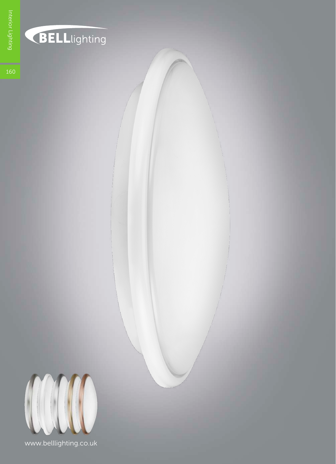



www.belllighting.co.uk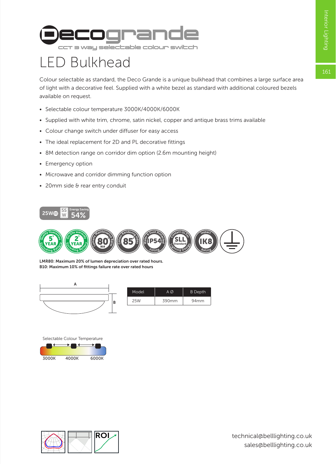

## LED Bulkhead

Colour selectable as standard, the Deco Grande is a unique bulkhead that combines a large surface area of light with a decorative feel. Supplied with a white bezel as standard with additional coloured bezels available on request.

- Selectable colour temperature 3000K/4000K/6000K
- Supplied with white trim, chrome, satin nickel, copper and antique brass trims available
- Colour change switch under diffuser for easy access
- The ideal replacement for 2D and PL decorative fittings
- 8M detection range on corridor dim option (2.6m mounting height)
- Emergency option
- Microwave and corridor dimming function option
- 20mm side & rear entry conduit





LMR80: Maximum 20% of lumen depreciation over rated hours. B10: Maximum 10% of fittings failure rate over rated hours



| Model | ΑØ    | <b>B</b> Depth   |  |
|-------|-------|------------------|--|
| 25W   | 390mm | 94 <sub>mm</sub> |  |



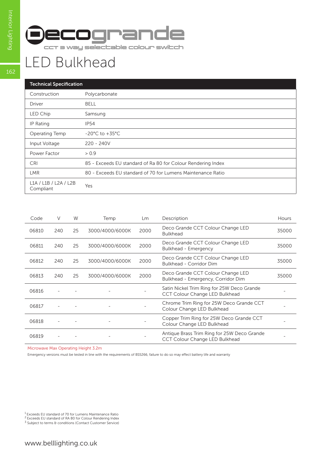

## LED Bulkhead

| <b>Technical Specification</b>     |                                                              |  |  |  |  |
|------------------------------------|--------------------------------------------------------------|--|--|--|--|
| Construction                       | Polycarbonate                                                |  |  |  |  |
| Driver                             | <b>BELL</b>                                                  |  |  |  |  |
| LED Chip                           | Samsung                                                      |  |  |  |  |
| IP Rating                          | <b>IP54</b>                                                  |  |  |  |  |
| Operating Temp                     | $-20^{\circ}$ C to $+35^{\circ}$ C                           |  |  |  |  |
| Input Voltage                      | $220 - 240V$                                                 |  |  |  |  |
| Power Factor                       | > 0.9                                                        |  |  |  |  |
| <b>CRI</b>                         | 85 - Exceeds EU standard of Ra 80 for Colour Rendering Index |  |  |  |  |
| <b>LMR</b>                         | 80 - Exceeds EU standard of 70 for Lumens Maintenance Ratio  |  |  |  |  |
| L1A / L1B / L2A / L2B<br>Compliant | Yes                                                          |  |  |  |  |

| Code  | V   | W  | Temp            | Lm   | Description                                                                   | <b>Hours</b> |
|-------|-----|----|-----------------|------|-------------------------------------------------------------------------------|--------------|
| 06810 | 240 | 25 | 3000/4000/6000K | 2000 | Deco Grande CCT Colour Change LED<br><b>Bulkhead</b>                          | 35000        |
| 06811 | 240 | 25 | 3000/4000/6000K | 2000 | Deco Grande CCT Colour Change LED<br>Bulkhead - Emergency                     | 35000        |
| 06812 | 240 | 25 | 3000/4000/6000K | 2000 | Deco Grande CCT Colour Change LED<br>Bulkhead - Corridor Dim                  | 35000        |
| 06813 | 240 | 25 | 3000/4000/6000K | 2000 | Deco Grande CCT Colour Change LED<br>Bulkhead - Emergency, Corridor Dim       | 35000        |
| 06816 |     |    |                 |      | Satin Nickel Trim Ring for 25W Deco Grande<br>CCT Colour Change LED Bulkhead  |              |
| 06817 |     |    |                 |      | Chrome Trim Ring for 25W Deco Grande CCT<br>Colour Change LED Bulkhead        |              |
| 06818 |     |    |                 |      | Copper Trim Ring for 25W Deco Grande CCT<br>Colour Change LED Bulkhead        |              |
| 06819 |     |    |                 |      | Antique Brass Trim Ring for 25W Deco Grande<br>CCT Colour Change LED Bulkhead |              |

Microwave Max Operating Height 3.2m

Emergency versions must be tested in line with the requirements of BS5266, failure to do so may effect battery life and warranty

<sup>1</sup> Exceeds EU standard of 70 for Lumens Maintenance Ratio<br><sup>2</sup> Exceeds EU standard of RA 80 for Colour Rendering Index<br><sup>3</sup> Subject to terms & conditions (Contact Customer Service)